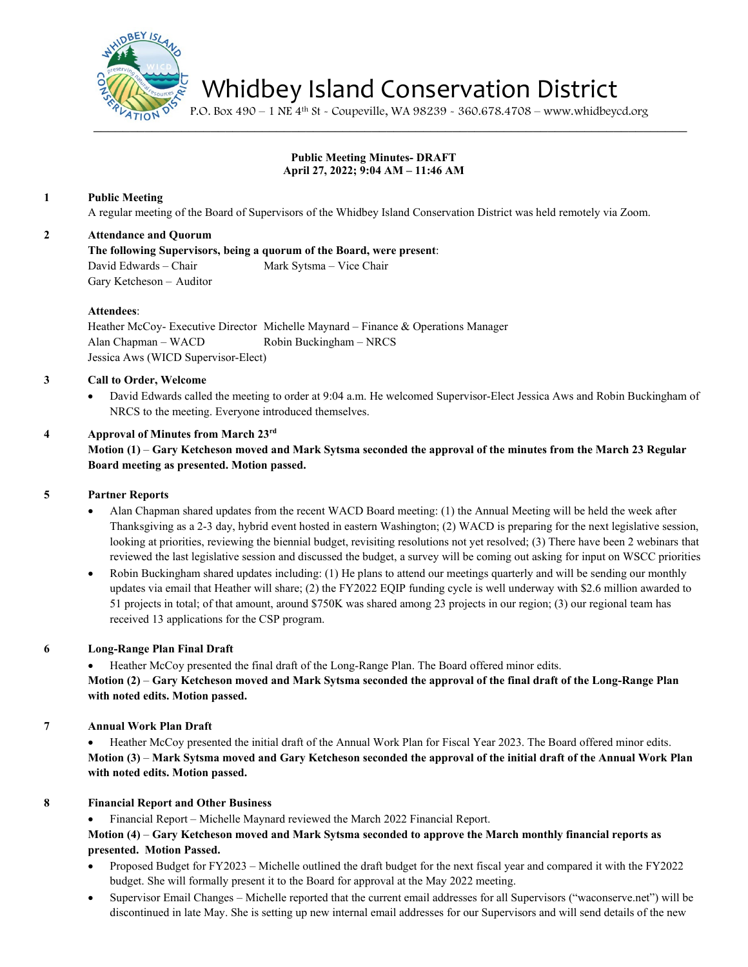

Whidbey Island Conservation District

P.O. Box 490 – 1 NE 4th St - Coupeville, WA 98239 - 360.678.4708 – www.whidbeycd.org

# **Public Meeting Minutes- DRAFT April 27, 2022; 9:04 AM – 11:46 AM**

 $\mathcal{L} = \mathcal{L} \mathcal{L}$ 

## **1 Public Meeting**

A regular meeting of the Board of Supervisors of the Whidbey Island Conservation District was held remotely via Zoom.

## **2 Attendance and Quorum**

**The following Supervisors, being a quorum of the Board, were present**: David Edwards – Chair Mark Sytsma – Vice Chair Gary Ketcheson – Auditor

#### **Attendees**:

Heather McCoy- Executive Director Michelle Maynard – Finance & Operations Manager Alan Chapman – WACD Robin Buckingham – NRCS Jessica Aws (WICD Supervisor-Elect)

## **3 Call to Order, Welcome**

• David Edwards called the meeting to order at 9:04 a.m. He welcomed Supervisor-Elect Jessica Aws and Robin Buckingham of NRCS to the meeting. Everyone introduced themselves.

#### **4 Approval of Minutes from March 23rd**

**Motion (1)** – **Gary Ketcheson moved and Mark Sytsma seconded the approval of the minutes from the March 23 Regular Board meeting as presented. Motion passed.**

#### **5 Partner Reports**

- Alan Chapman shared updates from the recent WACD Board meeting: (1) the Annual Meeting will be held the week after Thanksgiving as a 2-3 day, hybrid event hosted in eastern Washington; (2) WACD is preparing for the next legislative session, looking at priorities, reviewing the biennial budget, revisiting resolutions not yet resolved; (3) There have been 2 webinars that reviewed the last legislative session and discussed the budget, a survey will be coming out asking for input on WSCC priorities
- Robin Buckingham shared updates including: (1) He plans to attend our meetings quarterly and will be sending our monthly updates via email that Heather will share; (2) the FY2022 EQIP funding cycle is well underway with \$2.6 million awarded to 51 projects in total; of that amount, around \$750K was shared among 23 projects in our region; (3) our regional team has received 13 applications for the CSP program.

## **6 Long-Range Plan Final Draft**

• Heather McCoy presented the final draft of the Long-Range Plan. The Board offered minor edits.

**Motion (2)** – **Gary Ketcheson moved and Mark Sytsma seconded the approval of the final draft of the Long-Range Plan with noted edits. Motion passed.**

## **7 Annual Work Plan Draft**

• Heather McCoy presented the initial draft of the Annual Work Plan for Fiscal Year 2023. The Board offered minor edits. **Motion (3)** – **Mark Sytsma moved and Gary Ketcheson seconded the approval of the initial draft of the Annual Work Plan with noted edits. Motion passed.**

## **8 Financial Report and Other Business**

• Financial Report – Michelle Maynard reviewed the March 2022 Financial Report.

## **Motion (4)** – **Gary Ketcheson moved and Mark Sytsma seconded to approve the March monthly financial reports as presented. Motion Passed.**

- Proposed Budget for FY2023 Michelle outlined the draft budget for the next fiscal year and compared it with the FY2022 budget. She will formally present it to the Board for approval at the May 2022 meeting.
- Supervisor Email Changes Michelle reported that the current email addresses for all Supervisors ("waconserve.net") will be discontinued in late May. She is setting up new internal email addresses for our Supervisors and will send details of the new